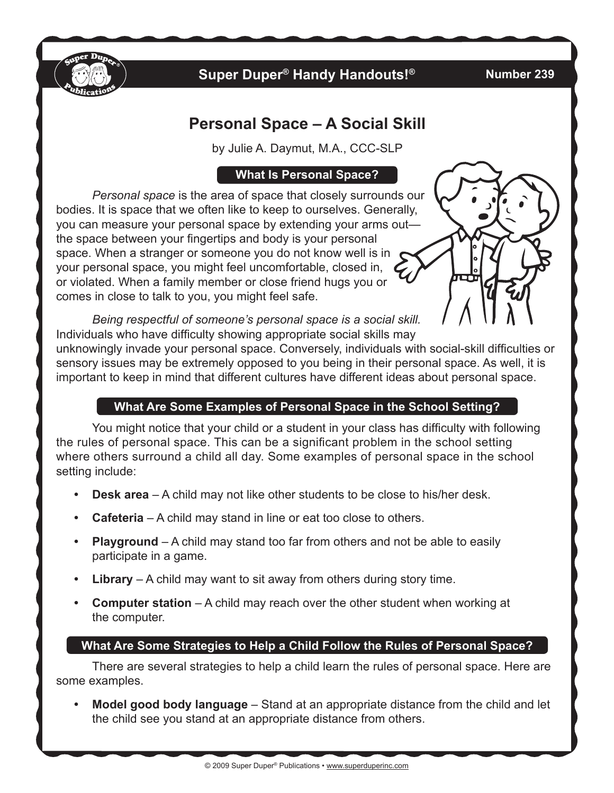

# **Super Duper® Handy Handouts!®**

#### **Number 239**

# **Personal Space – A Social Skill**

by Julie A. Daymut, M.A., CCC-SLP

### **What Is Personal Space?**

*Personal space* is the area of space that closely surrounds our bodies. It is space that we often like to keep to ourselves. Generally, you can measure your personal space by extending your arms out the space between your fingertips and body is your personal space. When a stranger or someone you do not know well is in your personal space, you might feel uncomfortable, closed in, or violated. When a family member or close friend hugs you or comes in close to talk to you, you might feel safe.



*Being respectful of someone's personal space is a social skill.* Individuals who have difficulty showing appropriate social skills may

unknowingly invade your personal space. Conversely, individuals with social-skill difficulties or sensory issues may be extremely opposed to you being in their personal space. As well, it is important to keep in mind that different cultures have different ideas about personal space.

# **What Are Some Examples of Personal Space in the School Setting?**

You might notice that your child or a student in your class has difficulty with following the rules of personal space. This can be a significant problem in the school setting where others surround a child all day. Some examples of personal space in the school setting include:

- **Desk area** A child may not like other students to be close to his/her desk.
- **Cafeteria** A child may stand in line or eat too close to others.
- **Playground** A child may stand too far from others and not be able to easily participate in a game.
- **Library** A child may want to sit away from others during story time.
- **Computer station** A child may reach over the other student when working at the computer.

# **What Are Some Strategies to Help a Child Follow the Rules of Personal Space?**

There are several strategies to help a child learn the rules of personal space. Here are some examples.

**Model good body language** – Stand at an appropriate distance from the child and let the child see you stand at an appropriate distance from others.